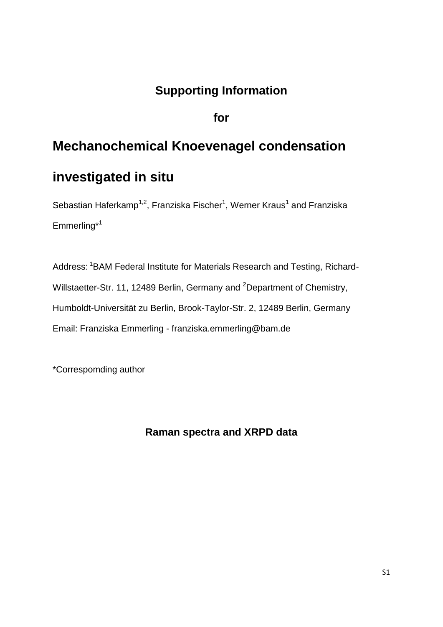## **Supporting Information**

**for**

## **Mechanochemical Knoevenagel condensation investigated in situ**

Sebastian Haferkamp<sup>1,2</sup>, Franziska Fischer<sup>1</sup>, Werner Kraus<sup>1</sup> and Franziska Emmerling\*<sup>1</sup>

Address: <sup>1</sup>BAM Federal Institute for Materials Research and Testing, Richard-Willstaetter-Str. 11, 12489 Berlin, Germany and <sup>2</sup>Department of Chemistry, Humboldt-Universität zu Berlin, Brook-Taylor-Str. 2, 12489 Berlin, Germany Email: Franziska Emmerling - franziska.emmerling@bam.de

\*Correspomding author

## **Raman spectra and XRPD data**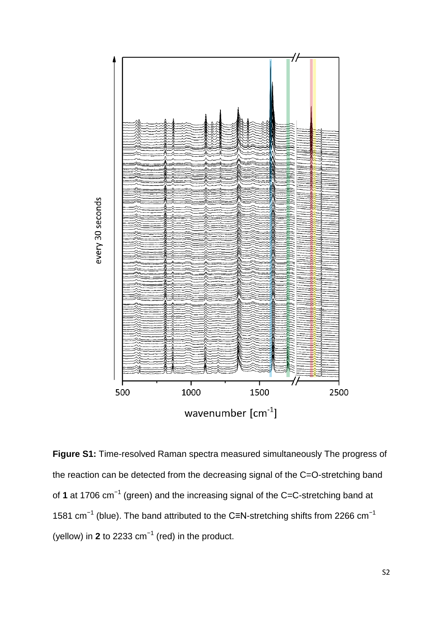

**Figure S1:** Time-resolved Raman spectra measured simultaneously The progress of the reaction can be detected from the decreasing signal of the C=O-stretching band of 1 at 1706 cm<sup>-1</sup> (green) and the increasing signal of the C=C-stretching band at 1581 cm<sup>-1</sup> (blue). The band attributed to the C≡N-stretching shifts from 2266 cm<sup>-1</sup> (yellow) in 2 to 2233  $cm^{-1}$  (red) in the product.